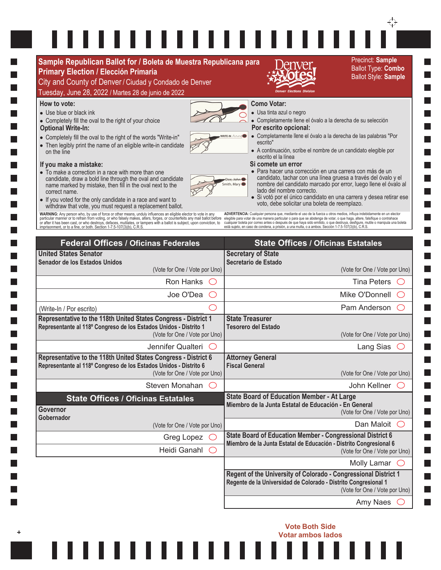## $\blacksquare$  $\sim$  10  $\Box$ П П П  $\Box$  $\Box$  $\mathcal{L}_{\mathcal{A}}$  $\Box$ **The Contract** П ш H H Ш

T.

П

P.

П

L.

T.

L.

L.

L.

п

L.

L.

T.

П

П

**The State** 

T.

 $+$ 

 $\overleftrightarrow{\cdot}$ 

Ш

ш,

 $\Box$ 

a ka

| Sample Republican Ballot for / Boleta de Muestra Republicana para                                                                                                                                                                                                                                                                                                                                                                                                                                                                                                                                                                                                                                                                                                                                                                                                                  |                               |                                                                                                                                                                                                                                                                                                                                                                                                                                                                                                                                                                                                                                                                                                                                                                                                                                                                                                                                                                                                                                                                                                                | Precinct: Sample<br><b>Ballot Type: Combo</b> |
|------------------------------------------------------------------------------------------------------------------------------------------------------------------------------------------------------------------------------------------------------------------------------------------------------------------------------------------------------------------------------------------------------------------------------------------------------------------------------------------------------------------------------------------------------------------------------------------------------------------------------------------------------------------------------------------------------------------------------------------------------------------------------------------------------------------------------------------------------------------------------------|-------------------------------|----------------------------------------------------------------------------------------------------------------------------------------------------------------------------------------------------------------------------------------------------------------------------------------------------------------------------------------------------------------------------------------------------------------------------------------------------------------------------------------------------------------------------------------------------------------------------------------------------------------------------------------------------------------------------------------------------------------------------------------------------------------------------------------------------------------------------------------------------------------------------------------------------------------------------------------------------------------------------------------------------------------------------------------------------------------------------------------------------------------|-----------------------------------------------|
| <b>Primary Election / Elección Primaria</b><br>City and County of Denver / Ciudad y Condado de Denver                                                                                                                                                                                                                                                                                                                                                                                                                                                                                                                                                                                                                                                                                                                                                                              |                               |                                                                                                                                                                                                                                                                                                                                                                                                                                                                                                                                                                                                                                                                                                                                                                                                                                                                                                                                                                                                                                                                                                                | <b>Ballot Style: Sample</b>                   |
| Tuesday, June 28, 2022 / Martes 28 de junio de 2022                                                                                                                                                                                                                                                                                                                                                                                                                                                                                                                                                                                                                                                                                                                                                                                                                                |                               | <b>Elections Divisic</b>                                                                                                                                                                                                                                                                                                                                                                                                                                                                                                                                                                                                                                                                                                                                                                                                                                                                                                                                                                                                                                                                                       |                                               |
| How to vote:<br>• Use blue or black ink<br>• Completely fill the oval to the right of your choice<br><b>Optional Write-In:</b><br>• Completely fill the oval to the right of the words "Write-in"<br>• Then legibly print the name of an eligible write-in candidate<br>on the line<br>If you make a mistake:<br>• To make a correction in a race with more than one<br>candidate, draw a bold line through the oval and candidate<br>name marked by mistake, then fill in the oval next to the<br>correct name.<br>• If you voted for the only candidate in a race and want to<br>withdraw that vote, you must request a replacement ballot.<br>WARNING: Any person who, by use of force or other means, unduly influences an eligible elector to vote in any<br>particular manner or to refrain from voting, or who falsely makes, alters, forges, or counterfeits any mail ball |                               | <b>Como Votar:</b><br>· Usa tinta azul o negro<br>• Completamente llene el óvalo a la derecha de su selección<br>Por escrito opcional:<br>• Completamente llene el óvalo a la derecha de las palabras "Por<br>escrito"<br>- A continuación, scribe el nombre de un candidato elegible por<br>escrito el la línea<br>Si comete un error<br>• Para hacer una corrección en una carrera con más de un<br>candidato, tachar con una línea gruesa a través del óvalo y el<br>Doe. John<br>nombre del candidato marcado por error, luego llene el óvalo al<br>Smith, Mary<br>lado del nombre correcto.<br>· Si votó por el único candidato en una carrera y desea retirar ese<br>voto, debe solicitar una boleta de reemplazo.<br>ADVERTENCIA: Cualquier persona que, mediante el uso de la fuerza u otros medios, influya indebidamente en un elector<br>elegible para votar de una manera particular o para que se abstenga de votar, o que haga, altere, falsifique o contrahace<br>cualquier boleta por correo antes o después de que haya sido emitido, o que destruya, desfigure, mutile o manipula una boleta |                                               |
| imprisonment, or to a fine, or both. Section 1-7.5-107(3)(b), C.R.S.<br><b>Federal Offices / Oficinas Federales</b><br><b>United States Senator</b><br>Senador de los Estados Unidos                                                                                                                                                                                                                                                                                                                                                                                                                                                                                                                                                                                                                                                                                               |                               | está sujeto, en caso de condena, a prisión, a una multa, o a ambos. Sección 1-7.5-107(3)(b), C.R.S.<br><b>State Offices / Oficinas Estatales</b><br><b>Secretary of State</b><br>Secretario de Estado                                                                                                                                                                                                                                                                                                                                                                                                                                                                                                                                                                                                                                                                                                                                                                                                                                                                                                          | (Vote for One / Vote por Uno)                 |
| (Vote for One / Vote por Uno)<br>Ron Hanks<br>Joe O'Dea                                                                                                                                                                                                                                                                                                                                                                                                                                                                                                                                                                                                                                                                                                                                                                                                                            |                               |                                                                                                                                                                                                                                                                                                                                                                                                                                                                                                                                                                                                                                                                                                                                                                                                                                                                                                                                                                                                                                                                                                                | <b>Tina Peters</b>                            |
|                                                                                                                                                                                                                                                                                                                                                                                                                                                                                                                                                                                                                                                                                                                                                                                                                                                                                    |                               | Mike O'Donnell                                                                                                                                                                                                                                                                                                                                                                                                                                                                                                                                                                                                                                                                                                                                                                                                                                                                                                                                                                                                                                                                                                 |                                               |
|                                                                                                                                                                                                                                                                                                                                                                                                                                                                                                                                                                                                                                                                                                                                                                                                                                                                                    |                               |                                                                                                                                                                                                                                                                                                                                                                                                                                                                                                                                                                                                                                                                                                                                                                                                                                                                                                                                                                                                                                                                                                                |                                               |
| (Write-In / Por escrito)<br>Representative to the 118th United States Congress - District 1<br>Representante al 118º Congreso de los Estados Unidos - Distrito 1<br>(Vote for One / Vote por Uno)<br>Jennifer Qualteri O                                                                                                                                                                                                                                                                                                                                                                                                                                                                                                                                                                                                                                                           |                               | <b>State Treasurer</b><br><b>Tesorero del Estado</b>                                                                                                                                                                                                                                                                                                                                                                                                                                                                                                                                                                                                                                                                                                                                                                                                                                                                                                                                                                                                                                                           | Pam Anderson<br>(Vote for One / Vote por Uno) |
|                                                                                                                                                                                                                                                                                                                                                                                                                                                                                                                                                                                                                                                                                                                                                                                                                                                                                    |                               |                                                                                                                                                                                                                                                                                                                                                                                                                                                                                                                                                                                                                                                                                                                                                                                                                                                                                                                                                                                                                                                                                                                | Lang Sias                                     |
| Representative to the 118th United States Congress - District 6<br>Representante al 118º Congreso de los Estados Unidos - Distrito 6<br>(Vote for One / Vote por Uno)                                                                                                                                                                                                                                                                                                                                                                                                                                                                                                                                                                                                                                                                                                              |                               | <b>Attorney General</b><br><b>Fiscal General</b>                                                                                                                                                                                                                                                                                                                                                                                                                                                                                                                                                                                                                                                                                                                                                                                                                                                                                                                                                                                                                                                               | (Vote for One / Vote por Uno)                 |
| Steven Monahan O                                                                                                                                                                                                                                                                                                                                                                                                                                                                                                                                                                                                                                                                                                                                                                                                                                                                   |                               |                                                                                                                                                                                                                                                                                                                                                                                                                                                                                                                                                                                                                                                                                                                                                                                                                                                                                                                                                                                                                                                                                                                | John Kellner                                  |
| <b>State Offices / Oficinas Estatales</b><br>Governor                                                                                                                                                                                                                                                                                                                                                                                                                                                                                                                                                                                                                                                                                                                                                                                                                              |                               | <b>State Board of Education Member - At Large</b><br>Miembro de la Junta Estatal de Educación - En General<br>(Vote for One / Vote por Uno)                                                                                                                                                                                                                                                                                                                                                                                                                                                                                                                                                                                                                                                                                                                                                                                                                                                                                                                                                                    |                                               |
| Gobernador                                                                                                                                                                                                                                                                                                                                                                                                                                                                                                                                                                                                                                                                                                                                                                                                                                                                         | (Vote for One / Vote por Uno) |                                                                                                                                                                                                                                                                                                                                                                                                                                                                                                                                                                                                                                                                                                                                                                                                                                                                                                                                                                                                                                                                                                                | Dan Maloit $\bigcirc$                         |
| Greg Lopez<br>$\left( \begin{array}{c} \end{array} \right)$                                                                                                                                                                                                                                                                                                                                                                                                                                                                                                                                                                                                                                                                                                                                                                                                                        |                               | State Board of Education Member - Congressional District 6<br>Miembro de la Junta Estatal de Educación - Distrito Congresional 6                                                                                                                                                                                                                                                                                                                                                                                                                                                                                                                                                                                                                                                                                                                                                                                                                                                                                                                                                                               |                                               |
| Heidi Ganahl                                                                                                                                                                                                                                                                                                                                                                                                                                                                                                                                                                                                                                                                                                                                                                                                                                                                       | $($ )                         |                                                                                                                                                                                                                                                                                                                                                                                                                                                                                                                                                                                                                                                                                                                                                                                                                                                                                                                                                                                                                                                                                                                | (Vote for One / Vote por Uno)                 |
|                                                                                                                                                                                                                                                                                                                                                                                                                                                                                                                                                                                                                                                                                                                                                                                                                                                                                    |                               |                                                                                                                                                                                                                                                                                                                                                                                                                                                                                                                                                                                                                                                                                                                                                                                                                                                                                                                                                                                                                                                                                                                | Molly Lamar $\bigcirc$                        |
|                                                                                                                                                                                                                                                                                                                                                                                                                                                                                                                                                                                                                                                                                                                                                                                                                                                                                    |                               | Regent of the University of Colorado - Congressional District 1<br>Regente de la Universidad de Colorado - Distrito Congresional 1                                                                                                                                                                                                                                                                                                                                                                                                                                                                                                                                                                                                                                                                                                                                                                                                                                                                                                                                                                             | (Vote for One / Vote por Uno)                 |

**Vote Both Side Votar ambos lados**